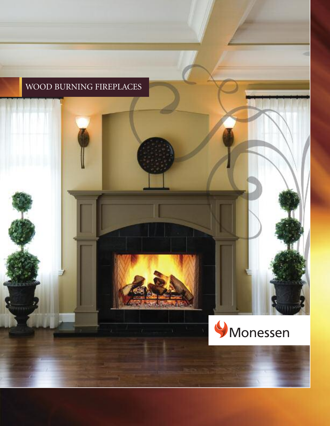# WOOD BURNING FIREPLACES

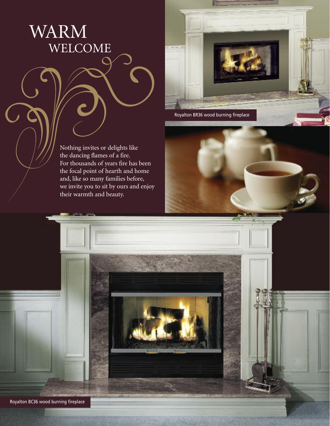WARM WELCOME



Nothing invites or delights like the dancing flames of a fire. For thousands of years fire has been the focal point of hearth and home and, like so many families before, we invite you to sit by ours and enjoy their warmth and beauty.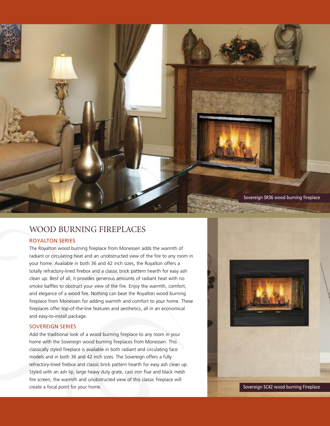

## WOOD BURNING FIREPLACES

### ROYALTON SERIES

The Royalton wood burning fireplace from Monessen adds the warmth of radiant or circulating heat and an unobstructed view of the fire to any room in your home. Available in both 36 and 42 inch sizes, the Royalton offers a totally refractory-lined firebox and a classic brick pattern hearth for easy ash clean up. Best of all, it provides generous amounts of radiant heat with no smoke baffles to obstruct your view of the fire. Enjoy the warmth, comfort, and elegance of a wood fire. Nothing can beat the Royalton wood burning fireplace from Monessen for adding warmth and comfort to your home. These fireplaces offer top-of-the-line features and aesthetics, all in an economical and easy-to-install package.

#### SOVEREIGN SERIES

Add the traditional look of a wood burning fireplace to any room in your home with the Sovereign wood burning fireplaces from Monessen. This classically styled fireplace is available in both radiant and circulating face models and in both 36 and 42 inch sizes. The Sovereign offers a fully refractory-lined firebox and classic brick pattern hearth for easy ash clean up. Styled with an ash lip, large heavy duty grate, cast iron flue and black mesh fire screen, the warmth and unobstructed view of this classic fireplace will create a focal point for your home.

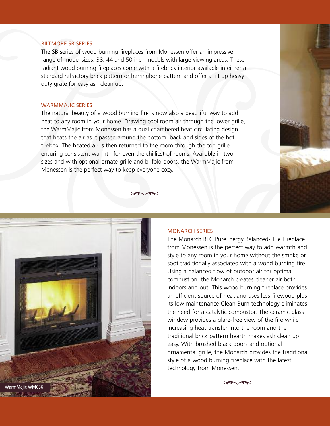## BILTMORE SB SERIES

The SB series of wood burning fireplaces from Monessen offer an impressive range of model sizes: 38, 44 and 50 inch models with large viewing areas. These radiant wood burning fireplaces come with a firebrick interior available in either a standard refractory brick pattern or herringbone pattern and offer a tilt up heavy duty grate for easy ash clean up.

#### WARMMAJIC SERIES

The natural beauty of a wood burning fire is now also a beautiful way to add heat to any room in your home. Drawing cool room air through the lower grille, the WarmMajic from Monessen has a dual chambered heat circulating design that heats the air as it passed around the bottom, back and sides of the hot firebox. The heated air is then returned to the room through the top grille ensuring consistent warmth for even the chilliest of rooms. Available in two sizes and with optional ornate grille and bi-fold doors, the WarmMajic from Monessen is the perfect way to keep everyone cozy.

 $\sqrt{2}$ 



#### MONARCH SERIES

The Monarch BFC PureEnergy Balanced-Flue Fireplace from Monessen is the perfect way to add warmth and style to any room in your home without the smoke or soot traditionally associated with a wood burning fire. Using a balanced flow of outdoor air for optimal combustion, the Monarch creates cleaner air both indoors and out. This wood burning fireplace provides an efficient source of heat and uses less firewood plus its low maintenance Clean Burn technology eliminates the need for a catalytic combustor. The ceramic glass window provides a glare-free view of the fire while increasing heat transfer into the room and the traditional brick pattern hearth makes ash clean up easy. With brushed black doors and optional ornamental grille, the Monarch provides the traditional style of a wood burning fireplace with the latest technology from Monessen.

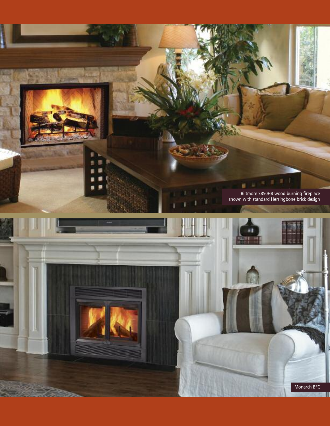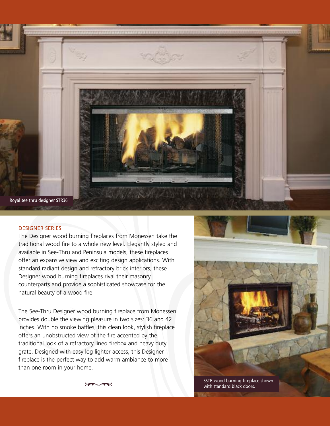

#### DESIGNER SERIES

The Designer wood burning fireplaces from Monessen take the traditional wood fire to a whole new level. Elegantly styled and available in See-Thru and Peninsula models, these fireplaces offer an expansive view and exciting design applications. With standard radiant design and refractory brick interiors, these Designer wood burning fireplaces rival their masonry counterparts and provide a sophisticated showcase for the natural beauty of a wood fire.

The See-Thru Designer wood burning fireplace from Monessen provides double the viewing pleasure in two sizes: 36 and 42 inches. With no smoke baffles, this clean look, stylish fireplace offers an unobstructed view of the fire accented by the traditional look of a refractory lined firebox and heavy duty grate. Designed with easy log lighter access, this Designer fireplace is the perfect way to add warm ambiance to more than one room in your home.



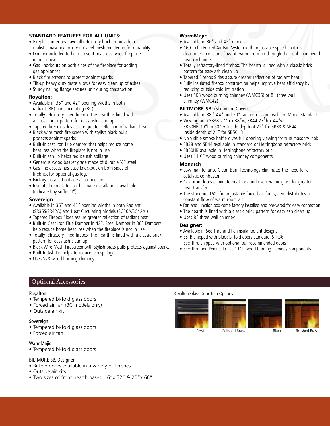#### **STANDARD FEATURES FOR ALL UNITS:**

- Fireplace interiors have all refractory brick to provide a realistic masonry look, with steel mesh molded in for durability
- Damper included to help prevent heat loss when fireplace in not in use
- Gas knockouts on both sides of the fireplace for adding gas appliances
- Black fire screens to protect against sparks
- Tilt-up heavy duty grate allows for easy clean up of ashes
- Sturdy nailing flange secures unit during construction

## **Royalton:**

- Available in 36" and 42" opening widths in both radiant (BR) and circulating (BC)
- Totally refractory-lined firebox. The hearth is lined with a classic brick pattern for easy ash clean up
- Tapered firebox sides assure greater reflection of radiant heat
- Black wire mesh fire screen with stylish black pulls protects against sparks
- Built-in cast iron flue damper that helps reduce home heat loss when the fireplace is not in use
- Built-in ash lip helps reduce ash spillage
- Generous wood basket grate made of durable ½" steel
- Gas line access has easy knockout on both sides of firebrick for optional gas logs
- Factory installed outside air connection
- Insulated models for cold-climate installations available (indicated by suffix "I")

#### **Sovereign**

- Available in 36" and 42" opening widths in both Radiant (SR36S/SR42A) and Heat Circulating Models (SC36A/SC42A )
- Tapered Firebox Sides assure greater reflection of radiant heat
- Built-In Cast Iron Flue Damper in 42". Steel Damper in 36" Dampers help reduce home heat loss when the fireplace is not in use
- Totally refractory-lined firebox. The hearth is lined with a classic brick pattern for easy ash clean up
- Black Wire Mesh Firescreen with stylish brass pulls protects against sparks
- Built-In Ash Lip helps to reduce ash spillage
- Uses SK8 wood burning chimney

#### **WarmMajic**

- Available in 36" and 42" models
- 160 cfm Forced Air Fan System with adjustable speed controls distribute a constant flow of warm room air through the dual-chambered heat exchanger
- Totally refractory-lined firebox. The hearth is lined with a classic brick pattern for easy ash clean up
- Tapered Firebox Sides assure greater reflection of radiant heat
- Fully insulated firebox construction helps improve heat efficiency by reducing outside cold infiltration
- Uses SK8 wood burning chimney (WMC36) or 8" three wall chimney (WMC42)

## **BILTMORE SB:** (Shown on Cover)

- Available in 38," 44" and 50" radiant design Insulated Model standard
- Viewing area SB38 27"h x 38"w, SB44 27"h x 44"w, SB50HB 30"h x 50"w. Inside depth of 22" for SB38 & SB44. Inside depth of 24" for SB50HB
- No visible smoke baffle gives full opening viewing for true masonry look
- SB38 and SB44 available in standard or Herringbone refractory brick
- SB50HB available in Herringbone refractory brick
- Uses 11 CF wood burning chimney components.

## **Monarch**

- Low maintenance Clean-Burn Technology eliminates the need for a catalytic combustor
- Cast iron doors eliminate heat loss and use ceramic glass for greater heat transfer
- The standard 160 cfm adjustable forced-air fan system distributes a constant flow of warm room air
- Fan and junction box come factory installed and pre-wired for easy connection
- The hearth is lined with a classic brick pattern for easy ash clean up
- Uses 8" three wall chimney

#### **Designer:**

- Available in See-Thru and Peninsula radiant designs
- SSTB shipped with black bi-fold doors standard, STR36 See-Thru shipped with optional but recommended doors
- See-Thru and Peninsula use 11CF wood burning chimney components

## Optional Accessories

#### Royalton

- Tempered bi-fold glass doors
- Forced air fan (BC models only)
- Outside air kit

## Sovereign

- Tempered bi-fold glass doors
- Forced air fan

## WarmMajic

• Tempered bi-fold glass doors

## BILTMORE SB, Designer

- Bi-fold doors available in a variety of finishes
- Outside air kits
- Two sizes of front hearth bases: 16"x 52" & 20"x 66"

## Royalton Glass Door Trim Options